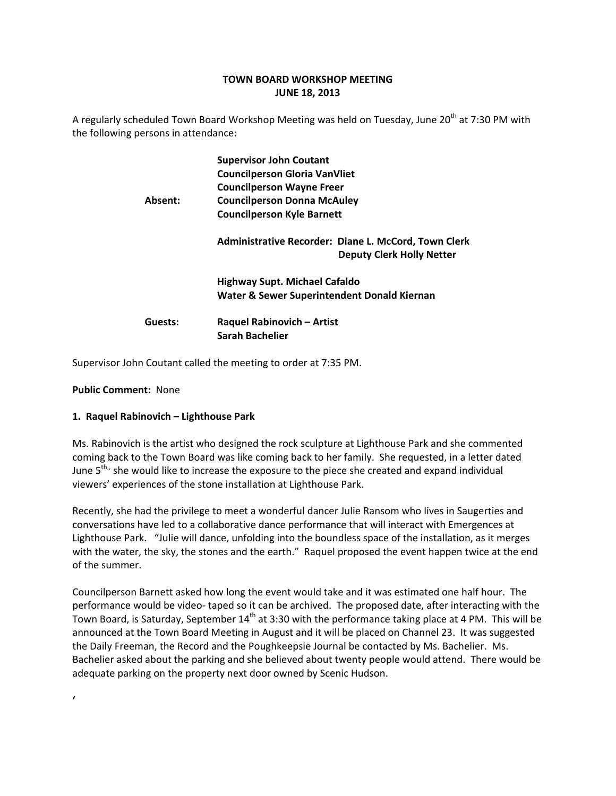# **TOWN BOARD WORKSHOP MEETING JUNE 18, 2013**

A regularly scheduled Town Board Workshop Meeting was held on Tuesday, June 20<sup>th</sup> at 7:30 PM with the following persons in attendance:

| <b>Supervisor John Coutant</b>                                                           |
|------------------------------------------------------------------------------------------|
| <b>Councilperson Gloria VanVliet</b>                                                     |
| <b>Councilperson Wayne Freer</b>                                                         |
| <b>Councilperson Donna McAuley</b>                                                       |
| <b>Councilperson Kyle Barnett</b>                                                        |
| Administrative Recorder: Diane L. McCord, Town Clerk<br><b>Deputy Clerk Holly Netter</b> |
| Highway Supt. Michael Cafaldo                                                            |
| Water & Sewer Superintendent Donald Kiernan                                              |
| Raquel Rabinovich - Artist                                                               |
| <b>Sarah Bachelier</b>                                                                   |
|                                                                                          |

Supervisor John Coutant called the meeting to order at 7:35 PM.

### **Public Comment: None**

**'**

### **1. Raquel Rabinovich – Lighthouse Park**

Ms. Rabinovich is the artist who designed the rock sculpture at Lighthouse Park and she commented coming back to the Town Board was like coming back to her family. She requested, in a letter dated June  $5<sup>th</sup>$ , she would like to increase the exposure to the piece she created and expand individual viewers' experiences of the stone installation at Lighthouse Park.

Recently, she had the privilege to meet a wonderful dancer Julie Ransom who lives in Saugerties and conversations have led to a collaborative dance performance that will interact with Emergences at Lighthouse Park. "Julie will dance, unfolding into the boundless space of the installation, as it merges with the water, the sky, the stones and the earth." Raquel proposed the event happen twice at the end of the summer.

Councilperson Barnett asked how long the event would take and it was estimated one half hour. The performance would be video‐ taped so it can be archived. The proposed date, after interacting with the Town Board, is Saturday, September 14<sup>th</sup> at 3:30 with the performance taking place at 4 PM. This will be announced at the Town Board Meeting in August and it will be placed on Channel 23. It was suggested the Daily Freeman, the Record and the Poughkeepsie Journal be contacted by Ms. Bachelier. Ms. Bachelier asked about the parking and she believed about twenty people would attend. There would be adequate parking on the property next door owned by Scenic Hudson.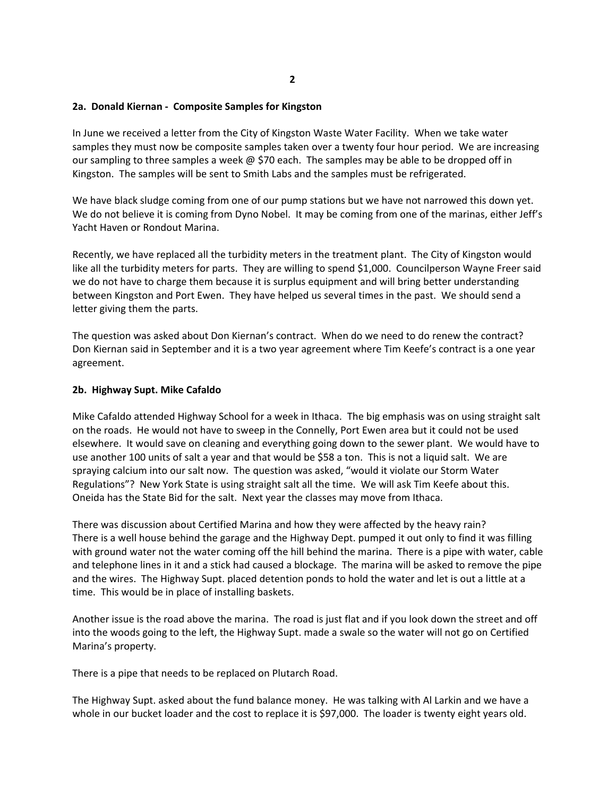#### **2a. Donald Kiernan ‐ Composite Samples for Kingston**

In June we received a letter from the City of Kingston Waste Water Facility. When we take water samples they must now be composite samples taken over a twenty four hour period. We are increasing our sampling to three samples a week  $\omega$  \$70 each. The samples may be able to be dropped off in Kingston. The samples will be sent to Smith Labs and the samples must be refrigerated.

We have black sludge coming from one of our pump stations but we have not narrowed this down yet. We do not believe it is coming from Dyno Nobel. It may be coming from one of the marinas, either Jeff's Yacht Haven or Rondout Marina.

Recently, we have replaced all the turbidity meters in the treatment plant. The City of Kingston would like all the turbidity meters for parts. They are willing to spend \$1,000. Councilperson Wayne Freer said we do not have to charge them because it is surplus equipment and will bring better understanding between Kingston and Port Ewen. They have helped us several times in the past. We should send a letter giving them the parts.

The question was asked about Don Kiernan's contract. When do we need to do renew the contract? Don Kiernan said in September and it is a two year agreement where Tim Keefe's contract is a one year agreement.

#### **2b. Highway Supt. Mike Cafaldo**

Mike Cafaldo attended Highway School for a week in Ithaca. The big emphasis was on using straight salt on the roads. He would not have to sweep in the Connelly, Port Ewen area but it could not be used elsewhere. It would save on cleaning and everything going down to the sewer plant. We would have to use another 100 units of salt a year and that would be \$58 a ton. This is not a liquid salt. We are spraying calcium into our salt now. The question was asked, "would it violate our Storm Water Regulations"? New York State is using straight salt all the time. We will ask Tim Keefe about this. Oneida has the State Bid for the salt. Next year the classes may move from Ithaca.

There was discussion about Certified Marina and how they were affected by the heavy rain? There is a well house behind the garage and the Highway Dept. pumped it out only to find it was filling with ground water not the water coming off the hill behind the marina. There is a pipe with water, cable and telephone lines in it and a stick had caused a blockage. The marina will be asked to remove the pipe and the wires. The Highway Supt. placed detention ponds to hold the water and let is out a little at a time. This would be in place of installing baskets.

Another issue is the road above the marina. The road is just flat and if you look down the street and off into the woods going to the left, the Highway Supt. made a swale so the water will not go on Certified Marina's property.

There is a pipe that needs to be replaced on Plutarch Road.

The Highway Supt. asked about the fund balance money. He was talking with Al Larkin and we have a whole in our bucket loader and the cost to replace it is \$97,000. The loader is twenty eight years old.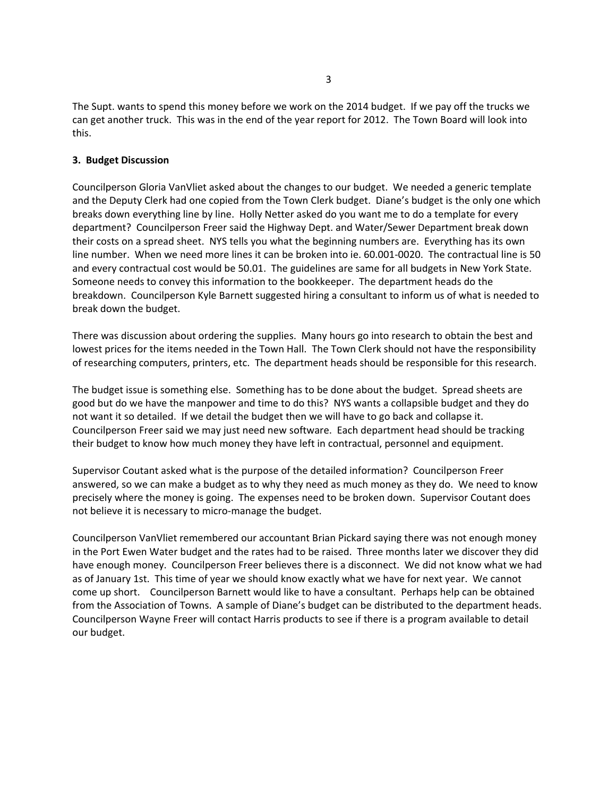The Supt. wants to spend this money before we work on the 2014 budget. If we pay off the trucks we can get another truck. This was in the end of the year report for 2012. The Town Board will look into this.

### **3. Budget Discussion**

Councilperson Gloria VanVliet asked about the changes to our budget. We needed a generic template and the Deputy Clerk had one copied from the Town Clerk budget. Diane's budget is the only one which breaks down everything line by line. Holly Netter asked do you want me to do a template for every department? Councilperson Freer said the Highway Dept. and Water/Sewer Department break down their costs on a spread sheet. NYS tells you what the beginning numbers are. Everything has its own line number. When we need more lines it can be broken into ie. 60.001‐0020. The contractual line is 50 and every contractual cost would be 50.01. The guidelines are same for all budgets in New York State. Someone needs to convey this information to the bookkeeper. The department heads do the breakdown. Councilperson Kyle Barnett suggested hiring a consultant to inform us of what is needed to break down the budget.

There was discussion about ordering the supplies. Many hours go into research to obtain the best and lowest prices for the items needed in the Town Hall. The Town Clerk should not have the responsibility of researching computers, printers, etc. The department heads should be responsible for this research.

The budget issue is something else. Something has to be done about the budget. Spread sheets are good but do we have the manpower and time to do this? NYS wants a collapsible budget and they do not want it so detailed. If we detail the budget then we will have to go back and collapse it. Councilperson Freer said we may just need new software. Each department head should be tracking their budget to know how much money they have left in contractual, personnel and equipment.

Supervisor Coutant asked what is the purpose of the detailed information? Councilperson Freer answered, so we can make a budget as to why they need as much money as they do. We need to know precisely where the money is going. The expenses need to be broken down. Supervisor Coutant does not believe it is necessary to micro‐manage the budget.

Councilperson VanVliet remembered our accountant Brian Pickard saying there was not enough money in the Port Ewen Water budget and the rates had to be raised. Three months later we discover they did have enough money. Councilperson Freer believes there is a disconnect. We did not know what we had as of January 1st. This time of year we should know exactly what we have for next year. We cannot come up short. Councilperson Barnett would like to have a consultant. Perhaps help can be obtained from the Association of Towns. A sample of Diane's budget can be distributed to the department heads. Councilperson Wayne Freer will contact Harris products to see if there is a program available to detail our budget.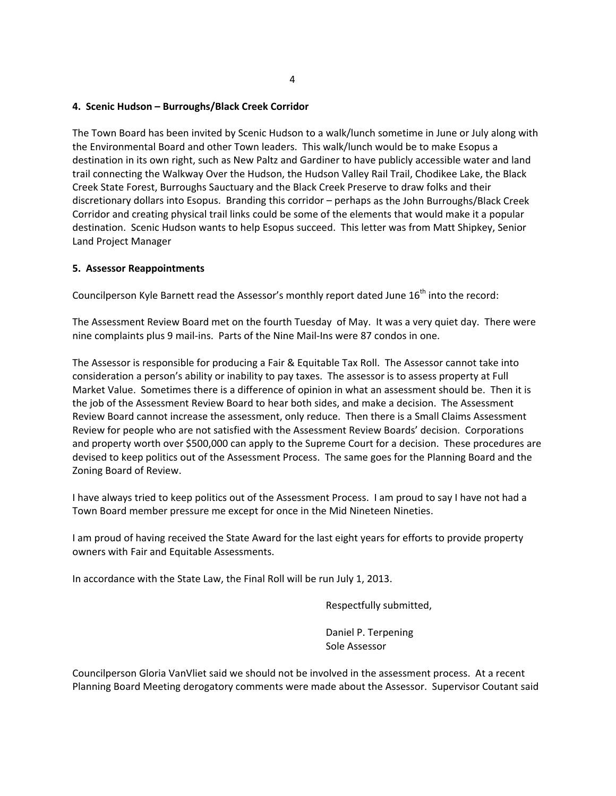### **4. Scenic Hudson – Burroughs/Black Creek Corridor**

The Town Board has been invited by Scenic Hudson to a walk/lunch sometime in June or July along with the Environmental Board and other Town leaders. This walk/lunch would be to make Esopus a destination in its own right, such as New Paltz and Gardiner to have publicly accessible water and land trail connecting the Walkway Over the Hudson, the Hudson Valley Rail Trail, Chodikee Lake, the Black Creek State Forest, Burroughs Sauctuary and the Black Creek Preserve to draw folks and their discretionary dollars into Esopus. Branding this corridor – perhaps as the John Burroughs/Black Creek Corridor and creating physical trail links could be some of the elements that would make it a popular destination. Scenic Hudson wants to help Esopus succeed. This letter was from Matt Shipkey, Senior Land Project Manager

### **5. Assessor Reappointments**

Councilperson Kyle Barnett read the Assessor's monthly report dated June 16<sup>th</sup> into the record:

The Assessment Review Board met on the fourth Tuesday of May. It was a very quiet day. There were nine complaints plus 9 mail‐ins. Parts of the Nine Mail‐Ins were 87 condos in one.

The Assessor is responsible for producing a Fair & Equitable Tax Roll. The Assessor cannot take into consideration a person's ability or inability to pay taxes. The assessor is to assess property at Full Market Value. Sometimes there is a difference of opinion in what an assessment should be. Then it is the job of the Assessment Review Board to hear both sides, and make a decision. The Assessment Review Board cannot increase the assessment, only reduce. Then there is a Small Claims Assessment Review for people who are not satisfied with the Assessment Review Boards' decision. Corporations and property worth over \$500,000 can apply to the Supreme Court for a decision. These procedures are devised to keep politics out of the Assessment Process. The same goes for the Planning Board and the Zoning Board of Review.

I have always tried to keep politics out of the Assessment Process. I am proud to say I have not had a Town Board member pressure me except for once in the Mid Nineteen Nineties.

I am proud of having received the State Award for the last eight years for efforts to provide property owners with Fair and Equitable Assessments.

In accordance with the State Law, the Final Roll will be run July 1, 2013.

Respectfully submitted,

 Daniel P. Terpening Sole Assessor

Councilperson Gloria VanVliet said we should not be involved in the assessment process. At a recent Planning Board Meeting derogatory comments were made about the Assessor. Supervisor Coutant said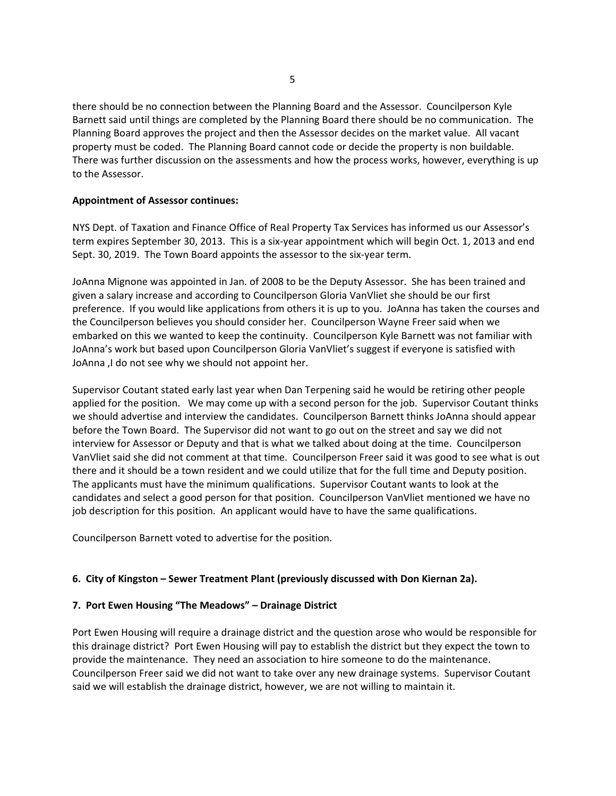there should be no connection between the Planning Board and the Assessor. Councilperson Kyle Barnett said until things are completed by the Planning Board there should be no communication. The Planning Board approves the project and then the Assessor decides on the market value. All vacant property must be coded. The Planning Board cannot code or decide the property is non buildable. There was further discussion on the assessments and how the process works, however, everything is up to the Assessor.

### **Appointment of Assessor continues:**

NYS Dept. of Taxation and Finance Office of Real Property Tax Services has informed us our Assessor's term expires September 30, 2013. This is a six-year appointment which will begin Oct. 1, 2013 and end Sept. 30, 2019. The Town Board appoints the assessor to the six-year term.

JoAnna Mignone was appointed in Jan. of 2008 to be the Deputy Assessor. She has been trained and given a salary increase and according to Councilperson Gloria VanVliet she should be our first preference. If you would like applications from others it is up to you. JoAnna has taken the courses and the Councilperson believes you should consider her. Councilperson Wayne Freer said when we embarked on this we wanted to keep the continuity. Councilperson Kyle Barnett was not familiar with JoAnna's work but based upon Councilperson Gloria VanVliet's suggest if everyone is satisfied with JoAnna ,I do not see why we should not appoint her.

Supervisor Coutant stated early last year when Dan Terpening said he would be retiring other people applied for the position. We may come up with a second person for the job. Supervisor Coutant thinks we should advertise and interview the candidates. Councilperson Barnett thinks JoAnna should appear before the Town Board. The Supervisor did not want to go out on the street and say we did not interview for Assessor or Deputy and that is what we talked about doing at the time. Councilperson VanVliet said she did not comment at that time. Councilperson Freer said it was good to see what is out there and it should be a town resident and we could utilize that for the full time and Deputy position. The applicants must have the minimum qualifications. Supervisor Coutant wants to look at the candidates and select a good person for that position. Councilperson VanVliet mentioned we have no job description for this position. An applicant would have to have the same qualifications.

Councilperson Barnett voted to advertise for the position.

### **6. City of Kingston – Sewer Treatment Plant (previously discussed with Don Kiernan 2a).**

### **7. Port Ewen Housing "The Meadows" – Drainage District**

Port Ewen Housing will require a drainage district and the question arose who would be responsible for this drainage district? Port Ewen Housing will pay to establish the district but they expect the town to provide the maintenance. They need an association to hire someone to do the maintenance. Councilperson Freer said we did not want to take over any new drainage systems. Supervisor Coutant said we will establish the drainage district, however, we are not willing to maintain it.